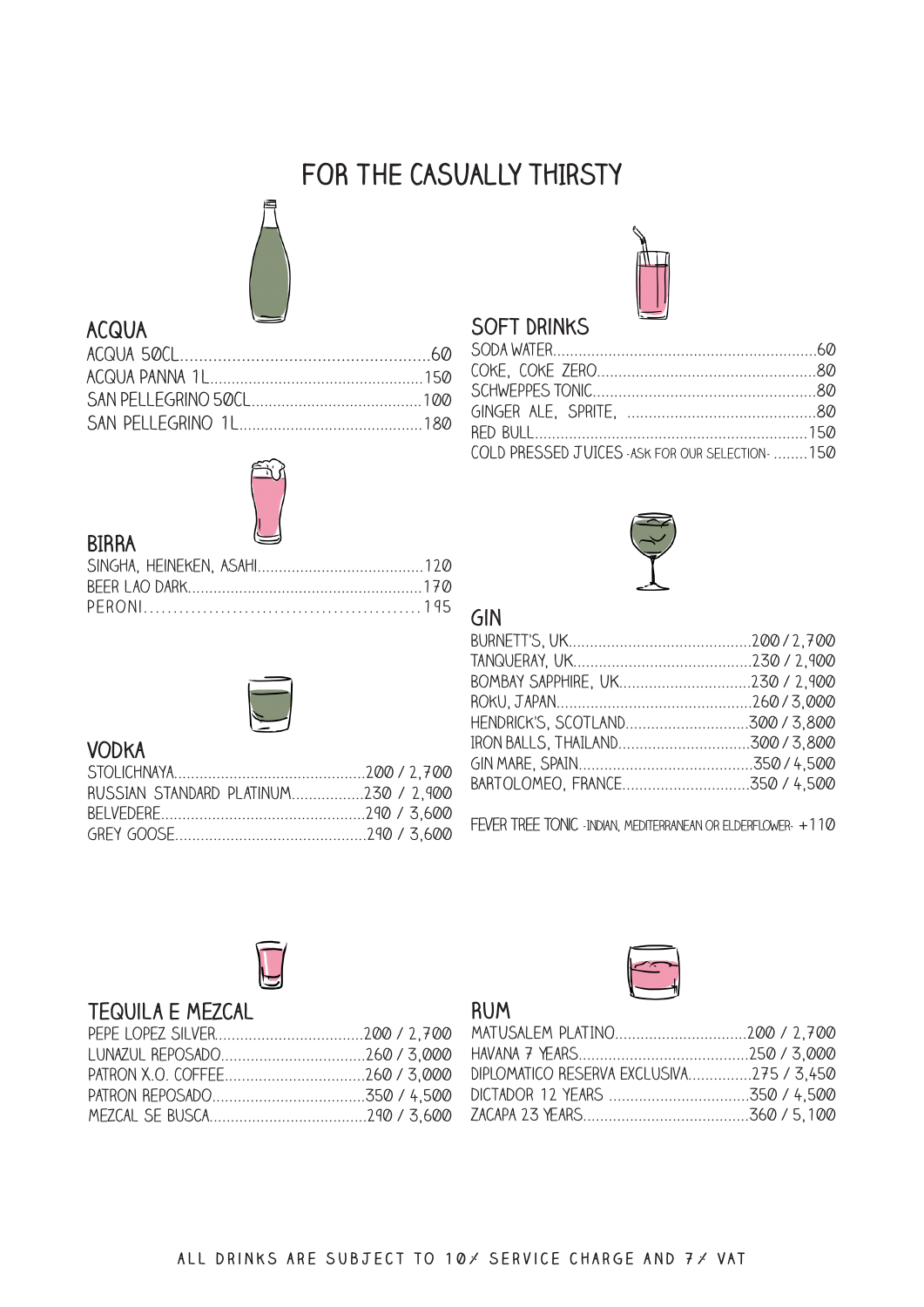## FOR THE CASUALLY THIRSTY



## **ACQUA**



#### **BIRRA**



#### **VODKA**

| RUSSIAN STANDARD PLATINUM230 / 2,900 |  |
|--------------------------------------|--|
|                                      |  |
|                                      |  |



#### **SOFT DRINKS**

| COLD PRESSED JUICES - ASK FOR OUR SELECTION-  150 |  |
|---------------------------------------------------|--|



#### GIN

FEVER TREE TONIC -INDIAN, MEDITERRANEAN OR ELDERFLOWER- +110



#### **TEQUILA E MEZCAL**



#### **RUM**

| DIPLOMATICO RESERVA EXCLUSIVA275 / 3,450 |  |
|------------------------------------------|--|
|                                          |  |
|                                          |  |
|                                          |  |